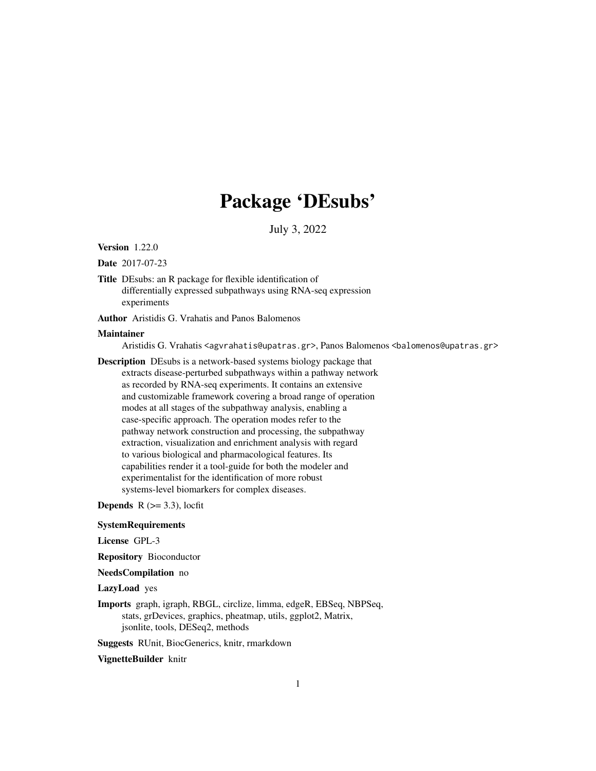# Package 'DEsubs'

July 3, 2022

Version 1.22.0

Date 2017-07-23

Title DEsubs: an R package for flexible identification of differentially expressed subpathways using RNA-seq expression experiments

Author Aristidis G. Vrahatis and Panos Balomenos

#### Maintainer

Aristidis G. Vrahatis <agvrahatis@upatras.gr>, Panos Balomenos <br/> <br/> <br/> <br/> <br/>Salomenos@upatras.gr>

Description DEsubs is a network-based systems biology package that extracts disease-perturbed subpathways within a pathway network as recorded by RNA-seq experiments. It contains an extensive and customizable framework covering a broad range of operation modes at all stages of the subpathway analysis, enabling a case-specific approach. The operation modes refer to the pathway network construction and processing, the subpathway extraction, visualization and enrichment analysis with regard to various biological and pharmacological features. Its capabilities render it a tool-guide for both the modeler and experimentalist for the identification of more robust systems-level biomarkers for complex diseases.

**Depends**  $R$  ( $>=$  3.3), locfit

# **SystemRequirements**

License GPL-3

Repository Bioconductor

NeedsCompilation no

LazyLoad yes

Imports graph, igraph, RBGL, circlize, limma, edgeR, EBSeq, NBPSeq, stats, grDevices, graphics, pheatmap, utils, ggplot2, Matrix, jsonlite, tools, DESeq2, methods

Suggests RUnit, BiocGenerics, knitr, rmarkdown

VignetteBuilder knitr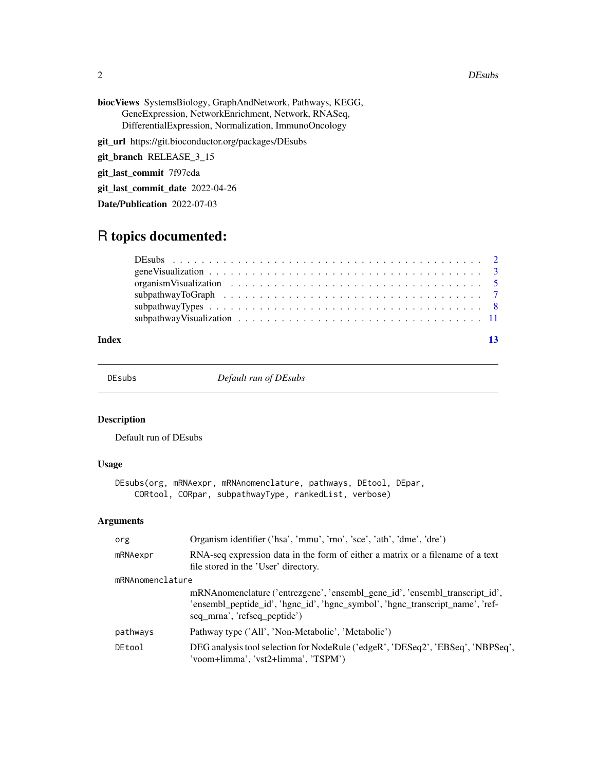### 2 DEsubs

- biocViews SystemsBiology, GraphAndNetwork, Pathways, KEGG, GeneExpression, NetworkEnrichment, Network, RNASeq, DifferentialExpression, Normalization, ImmunoOncology
- git\_url https://git.bioconductor.org/packages/DEsubs

git\_branch RELEASE\_3\_15

git\_last\_commit 7f97eda

git\_last\_commit\_date 2022-04-26

Date/Publication 2022-07-03

# R topics documented:

| Index |  |
|-------|--|

<span id="page-1-1"></span>

DEsubs *Default run of DEsubs*

# Description

Default run of DEsubs

# Usage

```
DEsubs(org, mRNAexpr, mRNAnomenclature, pathways, DEtool, DEpar,
   CORtool, CORpar, subpathwayType, rankedList, verbose)
```
# Arguments

| org              | Organism identifier ('hsa', 'mmu', 'rno', 'sce', 'ath', 'dme', 'dre')                                                                                                                        |
|------------------|----------------------------------------------------------------------------------------------------------------------------------------------------------------------------------------------|
| mRNAexpr         | RNA-seq expression data in the form of either a matrix or a filename of a text<br>file stored in the 'User' directory.                                                                       |
| mRNAnomenclature |                                                                                                                                                                                              |
|                  | mRNAnomenclature ('entrezgene', 'ensembl gene id', 'ensembl transcript id',<br>'ensembl_peptide_id', 'hgnc_id', 'hgnc_symbol', 'hgnc_transcript_name', 'ref-<br>seq_mrna', 'refseq_peptide') |
| pathways         | Pathway type ('All', 'Non-Metabolic', 'Metabolic')                                                                                                                                           |
| DEtool           | DEG analysis tool selection for NodeRule ('edgeR', 'DESeq2', 'EBSeq', 'NBPSeq',<br>'voom+limma', 'vst2+limma', 'TSPM')                                                                       |

<span id="page-1-0"></span>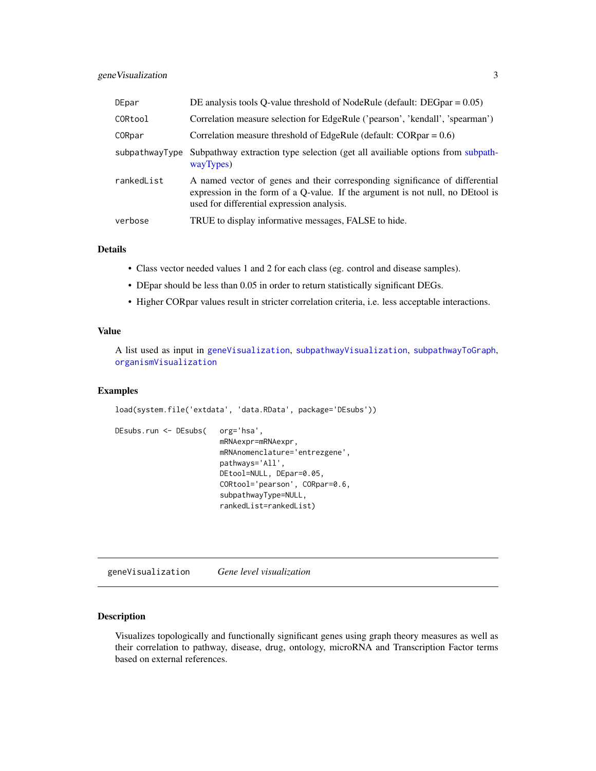<span id="page-2-0"></span>

| DEpar          | DE analysis tools Q-value threshold of NodeRule (default: $DEGpar = 0.05$ )                                                                                                                                  |
|----------------|--------------------------------------------------------------------------------------------------------------------------------------------------------------------------------------------------------------|
| CORtool        | Correlation measure selection for EdgeRule ('pearson', 'kendall', 'spearman')                                                                                                                                |
| CORpar         | Correlation measure threshold of EdgeRule (default: $CORpar = 0.6$ )                                                                                                                                         |
| subpathwayType | Subpathway extraction type selection (get all availiable options from subpath-<br>wayTypes)                                                                                                                  |
| rankedList     | A named vector of genes and their corresponding significance of differential<br>expression in the form of a Q-value. If the argument is not null, no DEtool is<br>used for differential expression analysis. |
| verbose        | TRUE to display informative messages, FALSE to hide.                                                                                                                                                         |

### Details

- Class vector needed values 1 and 2 for each class (eg. control and disease samples).
- DEpar should be less than 0.05 in order to return statistically significant DEGs.
- Higher CORpar values result in stricter correlation criteria, i.e. less acceptable interactions.

# Value

A list used as input in [geneVisualization](#page-2-1), [subpathwayVisualization](#page-10-1), [subpathwayToGraph](#page-6-1), [organismVisualization](#page-4-1)

# Examples

```
load(system.file('extdata', 'data.RData', package='DEsubs'))
DEsubs.run <- DEsubs( org='hsa',
                        mRNAexpr=mRNAexpr,
                        mRNAnomenclature='entrezgene',
                        pathways='All',
                        DEtool=NULL, DEpar=0.05,
                        CORtool='pearson', CORpar=0.6,
                        subpathwayType=NULL,
                        rankedList=rankedList)
```
<span id="page-2-1"></span>geneVisualization *Gene level visualization*

# Description

Visualizes topologically and functionally significant genes using graph theory measures as well as their correlation to pathway, disease, drug, ontology, microRNA and Transcription Factor terms based on external references.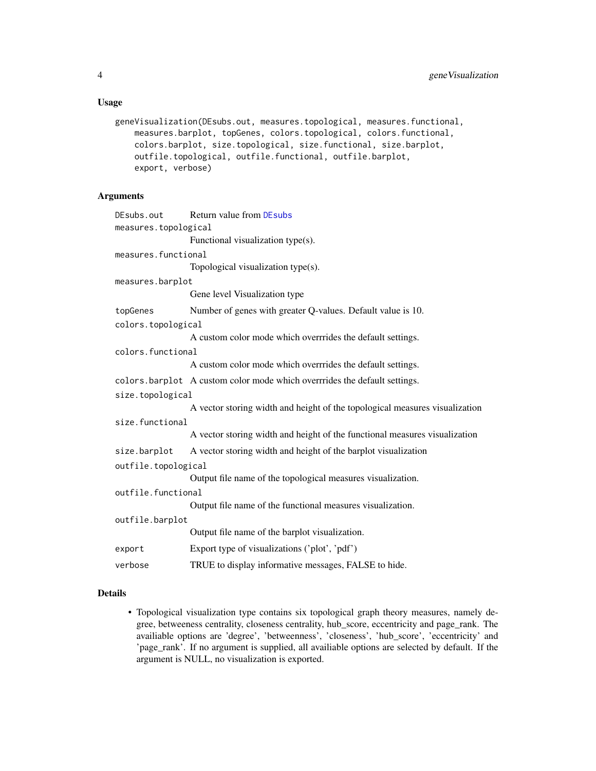# <span id="page-3-0"></span>Usage

```
geneVisualization(DEsubs.out, measures.topological, measures.functional,
   measures.barplot, topGenes, colors.topological, colors.functional,
    colors.barplot, size.topological, size.functional, size.barplot,
   outfile.topological, outfile.functional, outfile.barplot,
    export, verbose)
```
# Arguments

```
DEsubs.out Return value from DEsubs
measures.topological
                 Functional visualization type(s).
measures.functional
                 Topological visualization type(s).
measures.barplot
                 Gene level Visualization type
topGenes Number of genes with greater Q-values. Default value is 10.
colors.topological
                 A custom color mode which overrrides the default settings.
colors.functional
                 A custom color mode which overrrides the default settings.
colors.barplot A custom color mode which overrrides the default settings.
size.topological
                 A vector storing width and height of the topological measures visualization
size.functional
                 A vector storing width and height of the functional measures visualization
size.barplot A vector storing width and height of the barplot visualization
outfile.topological
                 Output file name of the topological measures visualization.
outfile.functional
                 Output file name of the functional measures visualization.
outfile.barplot
                 Output file name of the barplot visualization.
export Export type of visualizations ('plot', 'pdf')
verbose TRUE to display informative messages, FALSE to hide.
```
# Details

• Topological visualization type contains six topological graph theory measures, namely degree, betweeness centrality, closeness centrality, hub\_score, eccentricity and page\_rank. The availiable options are 'degree', 'betweenness', 'closeness', 'hub\_score', 'eccentricity' and 'page\_rank'. If no argument is supplied, all availiable options are selected by default. If the argument is NULL, no visualization is exported.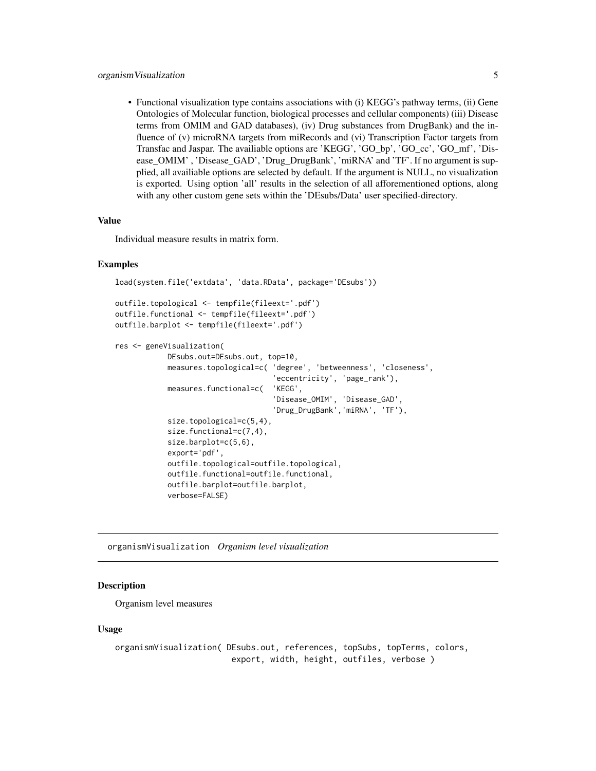# <span id="page-4-0"></span>organismVisualization 5

• Functional visualization type contains associations with (i) KEGG's pathway terms, (ii) Gene Ontologies of Molecular function, biological processes and cellular components) (iii) Disease terms from OMIM and GAD databases), (iv) Drug substances from DrugBank) and the influence of (v) microRNA targets from miRecords and (vi) Transcription Factor targets from Transfac and Jaspar. The availiable options are 'KEGG', 'GO\_bp', 'GO\_cc', 'GO\_mf', 'Disease\_OMIM' , 'Disease\_GAD', 'Drug\_DrugBank', 'miRNA' and 'TF'. If no argument is supplied, all availiable options are selected by default. If the argument is NULL, no visualization is exported. Using option 'all' results in the selection of all afforementioned options, along with any other custom gene sets within the 'DEsubs/Data' user specified-directory.

# Value

Individual measure results in matrix form.

# Examples

```
load(system.file('extdata', 'data.RData', package='DEsubs'))
outfile.topological <- tempfile(fileext='.pdf')
outfile.functional <- tempfile(fileext='.pdf')
outfile.barplot <- tempfile(fileext='.pdf')
res <- geneVisualization(
            DEsubs.out=DEsubs.out, top=10,
            measures.topological=c( 'degree', 'betweenness', 'closeness',
                                    'eccentricity', 'page_rank'),
            measures.functional=c( 'KEGG',
                                    'Disease_OMIM', 'Disease_GAD',
                                    'Drug_DrugBank','miRNA', 'TF'),
            size.topological=c(5,4),
            size.functional=c(7,4),
            size.barplot=c(5,6),
            export='pdf',
            outfile.topological=outfile.topological,
            outfile.functional=outfile.functional,
            outfile.barplot=outfile.barplot,
```
verbose=FALSE)

<span id="page-4-1"></span>organismVisualization *Organism level visualization*

# **Description**

Organism level measures

## Usage

```
organismVisualization( DEsubs.out, references, topSubs, topTerms, colors,
                       export, width, height, outfiles, verbose )
```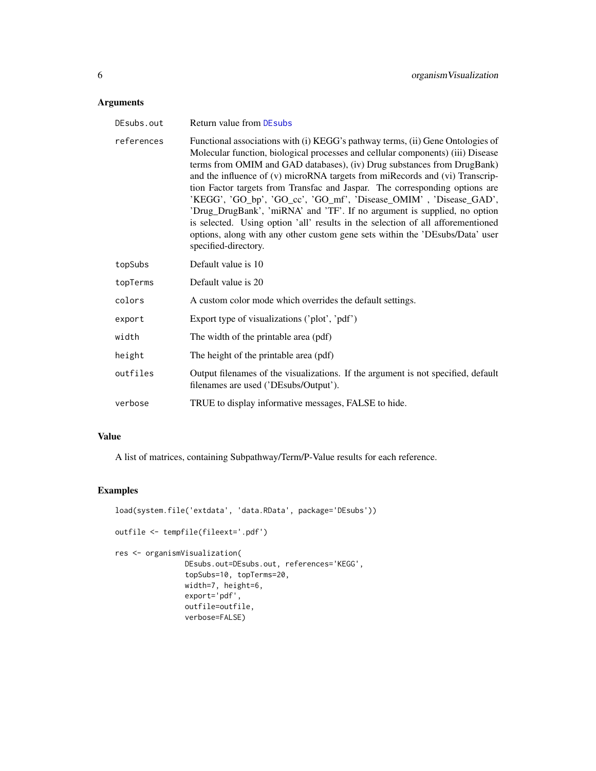# <span id="page-5-0"></span>Arguments

| DEsubs.out | <b>Return value from DEsubs</b>                                                                                                                                                                                                                                                                                                                                                                                                                                                                                                                                                                                                                                                                                                                         |
|------------|---------------------------------------------------------------------------------------------------------------------------------------------------------------------------------------------------------------------------------------------------------------------------------------------------------------------------------------------------------------------------------------------------------------------------------------------------------------------------------------------------------------------------------------------------------------------------------------------------------------------------------------------------------------------------------------------------------------------------------------------------------|
| references | Functional associations with (i) KEGG's pathway terms, (ii) Gene Ontologies of<br>Molecular function, biological processes and cellular components) (iii) Disease<br>terms from OMIM and GAD databases), (iv) Drug substances from DrugBank)<br>and the influence of (v) microRNA targets from miRecords and (vi) Transcrip-<br>tion Factor targets from Transfac and Jaspar. The corresponding options are<br>'KEGG', 'GO_bp', 'GO_cc', 'GO_mf', 'Disease_OMIM', 'Disease_GAD',<br>'Drug_DrugBank', 'miRNA' and 'TF'. If no argument is supplied, no option<br>is selected. Using option 'all' results in the selection of all afforementioned<br>options, along with any other custom gene sets within the 'DEsubs/Data' user<br>specified-directory. |
| topSubs    | Default value is 10                                                                                                                                                                                                                                                                                                                                                                                                                                                                                                                                                                                                                                                                                                                                     |
| topTerms   | Default value is 20                                                                                                                                                                                                                                                                                                                                                                                                                                                                                                                                                                                                                                                                                                                                     |
| colors     | A custom color mode which overrides the default settings.                                                                                                                                                                                                                                                                                                                                                                                                                                                                                                                                                                                                                                                                                               |
| export     | Export type of visualizations ('plot', 'pdf')                                                                                                                                                                                                                                                                                                                                                                                                                                                                                                                                                                                                                                                                                                           |
| width      | The width of the printable area (pdf)                                                                                                                                                                                                                                                                                                                                                                                                                                                                                                                                                                                                                                                                                                                   |
| height     | The height of the printable area (pdf)                                                                                                                                                                                                                                                                                                                                                                                                                                                                                                                                                                                                                                                                                                                  |
| outfiles   | Output filenames of the visualizations. If the argument is not specified, default<br>filenames are used ('DEsubs/Output').                                                                                                                                                                                                                                                                                                                                                                                                                                                                                                                                                                                                                              |
| verbose    | TRUE to display informative messages, FALSE to hide.                                                                                                                                                                                                                                                                                                                                                                                                                                                                                                                                                                                                                                                                                                    |

# Value

A list of matrices, containing Subpathway/Term/P-Value results for each reference.

# Examples

```
load(system.file('extdata', 'data.RData', package='DEsubs'))
outfile <- tempfile(fileext='.pdf')
res <- organismVisualization(
               DEsubs.out=DEsubs.out, references='KEGG',
               topSubs=10, topTerms=20,
               width=7, height=6,
               export='pdf',
               outfile=outfile,
               verbose=FALSE)
```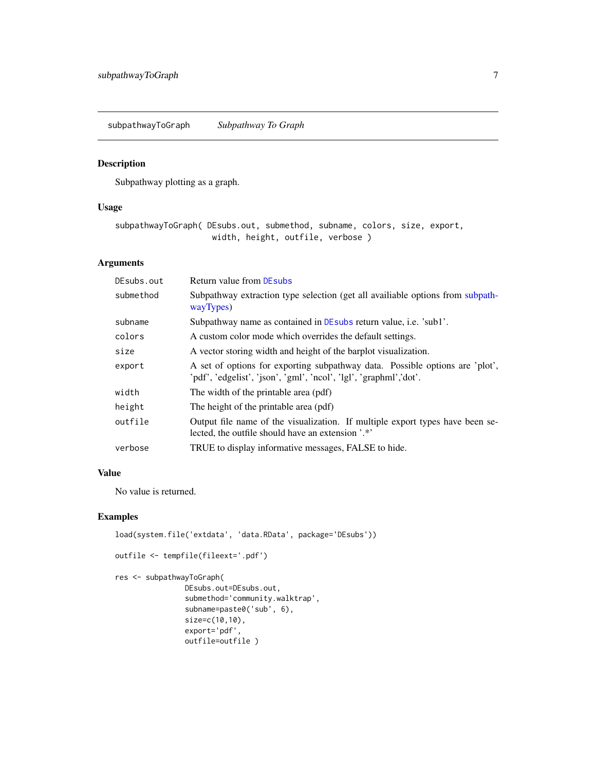<span id="page-6-1"></span><span id="page-6-0"></span>subpathwayToGraph *Subpathway To Graph*

# Description

Subpathway plotting as a graph.

# Usage

subpathwayToGraph( DEsubs.out, submethod, subname, colors, size, export, width, height, outfile, verbose )

# Arguments

| DEsubs.out | Return value from DEsubs                                                                                                                          |
|------------|---------------------------------------------------------------------------------------------------------------------------------------------------|
| submethod  | Subpathway extraction type selection (get all availiable options from subpath-<br>wayTypes)                                                       |
| subname    | Subpathway name as contained in DE subsequent results i.e. 'sub1'.                                                                                |
| colors     | A custom color mode which overrides the default settings.                                                                                         |
| size       | A vector storing width and height of the barplot visualization.                                                                                   |
| export     | A set of options for exporting subpathway data. Possible options are 'plot',<br>'pdf', 'edgelist', 'json', 'gml', 'ncol', 'lgl', 'graphml','dot'. |
| width      | The width of the printable area (pdf)                                                                                                             |
| height     | The height of the printable area (pdf)                                                                                                            |
| outfile    | Output file name of the visualization. If multiple export types have been se-<br>lected, the outfile should have an extension '.*'                |
| verbose    | TRUE to display informative messages, FALSE to hide.                                                                                              |

# Value

No value is returned.

# Examples

```
load(system.file('extdata', 'data.RData', package='DEsubs'))
outfile <- tempfile(fileext='.pdf')
res <- subpathwayToGraph(
                DEsubs.out=DEsubs.out,
```

```
submethod='community.walktrap',
subname=paste0('sub', 6),
size=c(10,10),
export='pdf',
outfile=outfile )
```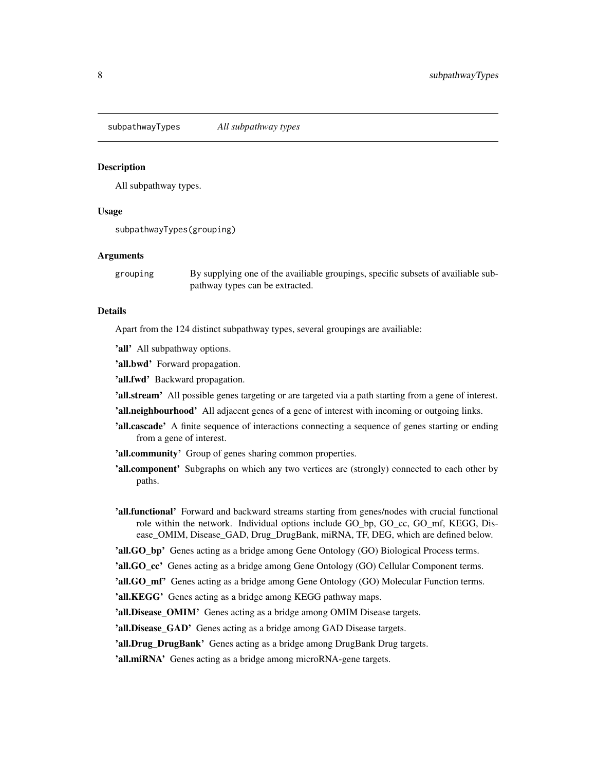<span id="page-7-1"></span><span id="page-7-0"></span>subpathwayTypes *All subpathway types*

# Description

All subpathway types.

# Usage

subpathwayTypes(grouping)

# Arguments

grouping By supplying one of the availiable groupings, specific subsets of availiable subpathway types can be extracted.

# Details

Apart from the 124 distinct subpathway types, several groupings are availiable:

'all' All subpathway options.

'all.bwd' Forward propagation.

'all.fwd' Backward propagation.

'all.stream' All possible genes targeting or are targeted via a path starting from a gene of interest.

'all.neighbourhood' All adjacent genes of a gene of interest with incoming or outgoing links.

'all.cascade' A finite sequence of interactions connecting a sequence of genes starting or ending from a gene of interest.

'all.community' Group of genes sharing common properties.

- **'all.component'** Subgraphs on which any two vertices are (strongly) connected to each other by paths.
- 'all.functional' Forward and backward streams starting from genes/nodes with crucial functional role within the network. Individual options include GO\_bp, GO\_cc, GO\_mf, KEGG, Disease\_OMIM, Disease\_GAD, Drug\_DrugBank, miRNA, TF, DEG, which are defined below.
- 'all.GO\_bp' Genes acting as a bridge among Gene Ontology (GO) Biological Process terms.

'all.GO\_cc' Genes acting as a bridge among Gene Ontology (GO) Cellular Component terms.

'all.GO\_mf' Genes acting as a bridge among Gene Ontology (GO) Molecular Function terms.

'all.KEGG' Genes acting as a bridge among KEGG pathway maps.

'all.Disease\_OMIM' Genes acting as a bridge among OMIM Disease targets.

'all.Disease\_GAD' Genes acting as a bridge among GAD Disease targets.

'all.Drug\_DrugBank' Genes acting as a bridge among DrugBank Drug targets.

'all.miRNA' Genes acting as a bridge among microRNA-gene targets.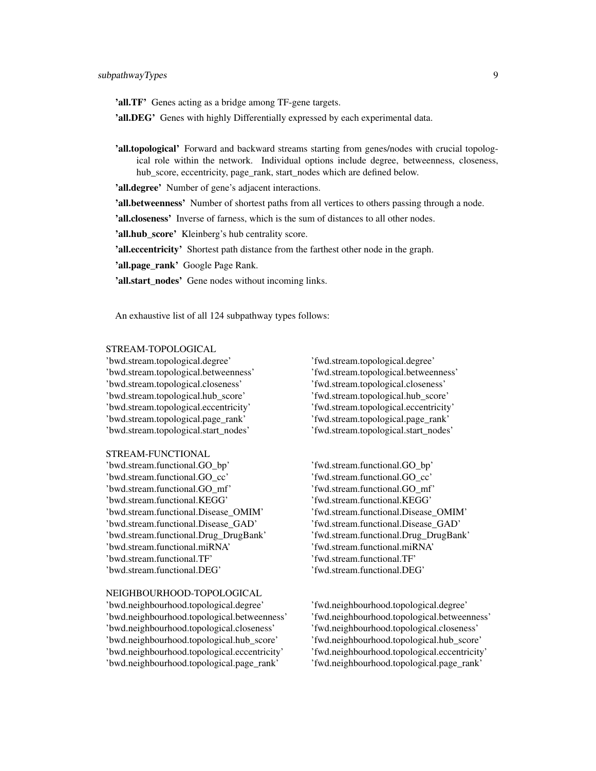'all.TF' Genes acting as a bridge among TF-gene targets.

'all.DEG' Genes with highly Differentially expressed by each experimental data.

'all.topological' Forward and backward streams starting from genes/nodes with crucial topological role within the network. Individual options include degree, betweenness, closeness, hub\_score, eccentricity, page\_rank, start\_nodes which are defined below.

'all.degree' Number of gene's adjacent interactions.

'all.betweenness' Number of shortest paths from all vertices to others passing through a node.

'all.closeness' Inverse of farness, which is the sum of distances to all other nodes.

'all.hub\_score' Kleinberg's hub centrality score.

'all.eccentricity' Shortest path distance from the farthest other node in the graph.

'all.page\_rank' Google Page Rank.

'all.start\_nodes' Gene nodes without incoming links.

An exhaustive list of all 124 subpathway types follows:

#### STREAM-TOPOLOGICAL

'bwd.stream.topological.degree' 'fwd.stream.topological.degree' 'bwd.stream.topological.betweenness' 'fwd.stream.topological.betweenness' 'bwd.stream.topological.closeness' 'fwd.stream.topological.closeness' 'bwd.stream.topological.hub\_score' 'fwd.stream.topological.hub\_score' 'bwd.stream.topological.eccentricity' 'fwd.stream.topological.eccentricity' 'bwd.stream.topological.page\_rank' 'fwd.stream.topological.page\_rank' 'bwd.stream.topological.start\_nodes' 'fwd.stream.topological.start\_nodes'

# STREAM-FUNCTIONAL

'bwd.stream.functional.GO\_bp' 'fwd.stream.functional.GO\_bp' 'bwd.stream.functional.GO\_cc' 'fwd.stream.functional.GO\_cc' 'bwd.stream.functional.GO\_mf' 'fwd.stream.functional.GO\_mf' 'bwd.stream.functional.KEGG' 'fwd.stream.functional.KEGG' 'bwd.stream.functional.Disease\_OMIM' 'fwd.stream.functional.Disease\_OMIM' 'bwd.stream.functional.Disease\_GAD' 'fwd.stream.functional.Disease\_GAD' 'bwd.stream.functional.Drug\_DrugBank' 'fwd.stream.functional.Drug\_DrugBank' 'bwd.stream.functional.miRNA' 'fwd.stream.functional.miRNA' 'bwd.stream.functional.TF' 'fwd.stream.functional.TF' 'bwd.stream.functional.DEG' 'fwd.stream.functional.DEG'

### NEIGHBOURHOOD-TOPOLOGICAL

'bwd.neighbourhood.topological.degree' 'fwd.neighbourhood.topological.degree' 'bwd.neighbourhood.topological.betweenness' 'fwd.neighbourhood.topological.betweenness' 'bwd.neighbourhood.topological.closeness' 'fwd.neighbourhood.topological.closeness' 'bwd.neighbourhood.topological.hub\_score' 'fwd.neighbourhood.topological.hub\_score' 'bwd.neighbourhood.topological.eccentricity' 'fwd.neighbourhood.topological.eccentricity' 'bwd.neighbourhood.topological.page\_rank' 'fwd.neighbourhood.topological.page\_rank'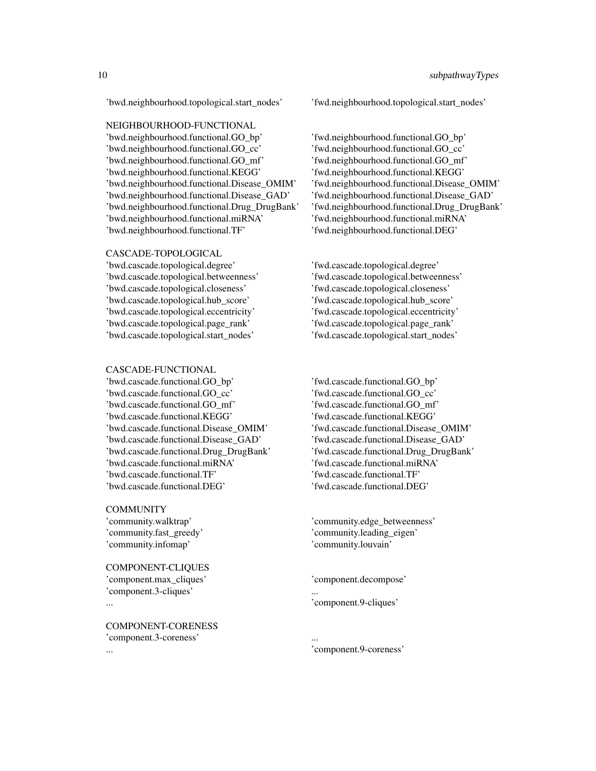# NEIGHBOURHOOD-FUNCTIONAL

'bwd.neighbourhood.functional.GO\_bp' 'fwd.neighbourhood.functional.GO\_bp' 'bwd.neighbourhood.functional.GO\_cc' 'fwd.neighbourhood.functional.GO\_cc' 'bwd.neighbourhood.functional.GO\_mf' 'fwd.neighbourhood.functional.GO\_mf' 'bwd.neighbourhood.functional.KEGG' 'fwd.neighbourhood.functional.KEGG' 'bwd.neighbourhood.functional.Disease\_OMIM' 'fwd.neighbourhood.functional.Disease\_OMIM' 'bwd.neighbourhood.functional.Disease\_GAD' 'fwd.neighbourhood.functional.Disease\_GAD' 'bwd.neighbourhood.functional.Drug\_DrugBank' 'fwd.neighbourhood.functional.Drug\_DrugBank' 'bwd.neighbourhood.functional.miRNA' 'fwd.neighbourhood.functional.miRNA' 'bwd.neighbourhood.functional.TF' 'fwd.neighbourhood.functional.DEG'

# CASCADE-TOPOLOGICAL

'bwd.cascade.topological.degree' 'fwd.cascade.topological.degree' 'bwd.cascade.topological.betweenness' 'fwd.cascade.topological.betweenness' 'bwd.cascade.topological.closeness' 'fwd.cascade.topological.closeness' 'bwd.cascade.topological.hub\_score' 'fwd.cascade.topological.hub\_score' 'bwd.cascade.topological.eccentricity' 'fwd.cascade.topological.eccentricity' 'bwd.cascade.topological.page\_rank' 'fwd.cascade.topological.page\_rank' 'bwd.cascade.topological.start\_nodes' 'fwd.cascade.topological.start\_nodes'

#### CASCADE-FUNCTIONAL

'bwd.cascade.functional.GO\_bp' 'fwd.cascade.functional.GO\_bp' 'bwd.cascade.functional.GO\_cc' 'fwd.cascade.functional.GO\_cc' 'bwd.cascade.functional.GO\_mf' 'fwd.cascade.functional.GO\_mf' 'bwd.cascade.functional.KEGG' 'fwd.cascade.functional.KEGG' 'bwd.cascade.functional.Disease\_OMIM' 'fwd.cascade.functional.Disease\_OMIM' 'bwd.cascade.functional.Disease\_GAD' 'fwd.cascade.functional.Disease\_GAD' 'bwd.cascade.functional.Drug\_DrugBank' 'fwd.cascade.functional.Drug\_DrugBank' 'bwd.cascade.functional.miRNA' 'fwd.cascade.functional.miRNA' 'bwd.cascade.functional.TF' 'fwd.cascade.functional.TF' 'bwd.cascade.functional.DEG' 'fwd.cascade.functional.DEG'

# **COMMUNITY**

'community.infomap' 'community.louvain'

COMPONENT-CLIQUES 'component.max\_cliques' 'component.decompose' 'component.3-cliques'

COMPONENT-CORENESS 'component.3-coreness'

'bwd.neighbourhood.topological.start\_nodes' 'fwd.neighbourhood.topological.start\_nodes'

'community.walktrap' 'community.edge\_betweenness' 'community.fast\_greedy' 'community.leading\_eigen'

'component.9-cliques'

... 'component.9-coreness'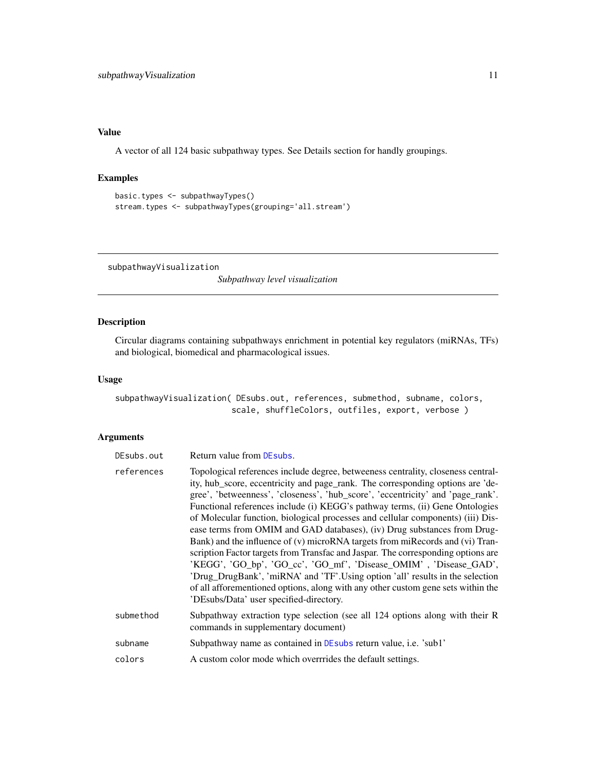# <span id="page-10-0"></span>Value

A vector of all 124 basic subpathway types. See Details section for handly groupings.

# Examples

```
basic.types <- subpathwayTypes()
stream.types <- subpathwayTypes(grouping='all.stream')
```
<span id="page-10-1"></span>subpathwayVisualization

*Subpathway level visualization*

# Description

Circular diagrams containing subpathways enrichment in potential key regulators (miRNAs, TFs) and biological, biomedical and pharmacological issues.

# Usage

subpathwayVisualization( DEsubs.out, references, submethod, subname, colors, scale, shuffleColors, outfiles, export, verbose )

# Arguments

| DEsubs.out | Return value from DE subs.                                                                                                                                                                                                                                                                                                                                                                                                                                                                                                                                                                                                                                                                                                                                                                                                                                                                                                                                     |
|------------|----------------------------------------------------------------------------------------------------------------------------------------------------------------------------------------------------------------------------------------------------------------------------------------------------------------------------------------------------------------------------------------------------------------------------------------------------------------------------------------------------------------------------------------------------------------------------------------------------------------------------------------------------------------------------------------------------------------------------------------------------------------------------------------------------------------------------------------------------------------------------------------------------------------------------------------------------------------|
| references | Topological references include degree, betweeness centrality, closeness central-<br>ity, hub_score, eccentricity and page_rank. The corresponding options are 'de-<br>gree', 'betweenness', 'closeness', 'hub_score', 'eccentricity' and 'page_rank'.<br>Functional references include (i) KEGG's pathway terms, (ii) Gene Ontologies<br>of Molecular function, biological processes and cellular components) (iii) Dis-<br>ease terms from OMIM and GAD databases), (iv) Drug substances from Drug-<br>Bank) and the influence of (v) microRNA targets from miRecords and (vi) Tran-<br>scription Factor targets from Transfac and Jaspar. The corresponding options are<br>'KEGG', 'GO_bp', 'GO_cc', 'GO_mf', 'Disease_OMIM', 'Disease_GAD',<br>'Drug_DrugBank', 'miRNA' and 'TF'.Using option 'all' results in the selection<br>of all afforementioned options, along with any other custom gene sets within the<br>'DEsubs/Data' user specified-directory. |
| submethod  | Subpathway extraction type selection (see all 124 options along with their R<br>commands in supplementary document)                                                                                                                                                                                                                                                                                                                                                                                                                                                                                                                                                                                                                                                                                                                                                                                                                                            |
| subname    | Subpathway name as contained in DEsubs return value, i.e. 'sub1'                                                                                                                                                                                                                                                                                                                                                                                                                                                                                                                                                                                                                                                                                                                                                                                                                                                                                               |
| colors     | A custom color mode which overrrides the default settings.                                                                                                                                                                                                                                                                                                                                                                                                                                                                                                                                                                                                                                                                                                                                                                                                                                                                                                     |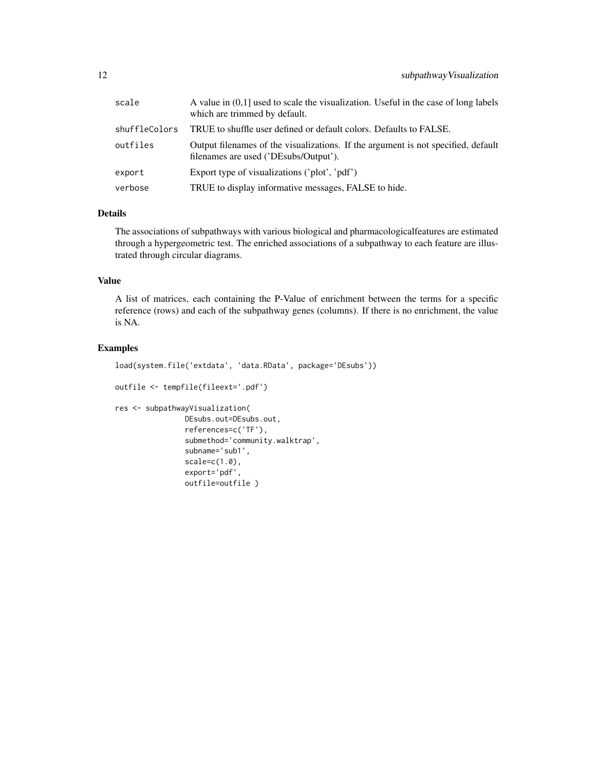| scale         | A value in $(0,1]$ used to scale the visualization. Useful in the case of long labels<br>which are trimmed by default.     |
|---------------|----------------------------------------------------------------------------------------------------------------------------|
| shuffleColors | TRUE to shuffle user defined or default colors. Defaults to FALSE.                                                         |
| outfiles      | Output filenames of the visualizations. If the argument is not specified, default<br>filenames are used ('DEsubs/Output'). |
| export        | Export type of visualizations ('plot', 'pdf')                                                                              |
| verbose       | TRUE to display informative messages, FALSE to hide.                                                                       |

# Details

The associations of subpathways with various biological and pharmacologicalfeatures are estimated through a hypergeometric test. The enriched associations of a subpathway to each feature are illustrated through circular diagrams.

# Value

A list of matrices, each containing the P-Value of enrichment between the terms for a specific reference (rows) and each of the subpathway genes (columns). If there is no enrichment, the value is NA.

# Examples

```
load(system.file('extdata', 'data.RData', package='DEsubs'))
outfile <- tempfile(fileext='.pdf')
res <- subpathwayVisualization(
               DEsubs.out=DEsubs.out,
                references=c('TF'),
                submethod='community.walktrap',
                subname='sub1',
                scale=c(1.0),export='pdf',
                outfile=outfile )
```